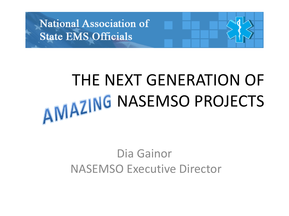

## THE NEXT GENERATION OF AMAZING NASEMSO PROJECTS

### Dia Gainor NASEMSO Executive Director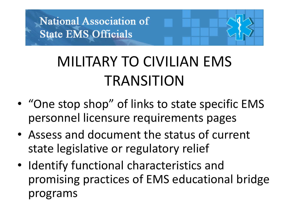### MILITARY TO CIVILIAN EMS TRANSITION

- "One stop shop" of links to state specific EMS personnel licensure requirements pages
- Assess and document the status of current state legislative or regulatory relief
- Identify functional characteristics and promising practices of EMS educational bridge programs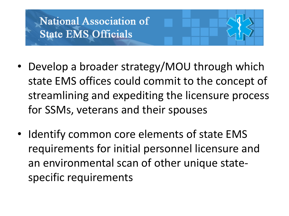- Develop a broader strategy/MOU through which state EMS offices could commit to the concept of streamlining and expediting the licensure process for SSMs, veterans and their spouses
- Identify common core elements of state EMS requirements for initial personnel licensure and an environmental scan of other unique statespecific requirements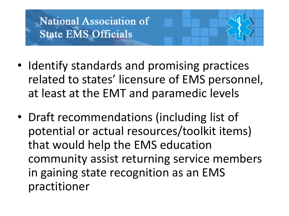- Identify standards and promising practices related to states' licensure of EMS personnel, at least at the EMT and paramedic levels
- Draft recommendations (including list of potential or actual resources/toolkit items) that would help the EMS education community assist returning service members in gaining state recognition as an EMS practitioner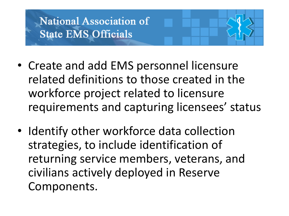- Create and add EMS personnel licensure related definitions to those created in the workforce project related to licensure requirements and capturing licensees' status
- Identify other workforce data collection strategies, to include identification of returning service members, veterans, and civilians actively deployed in Reserve Components.